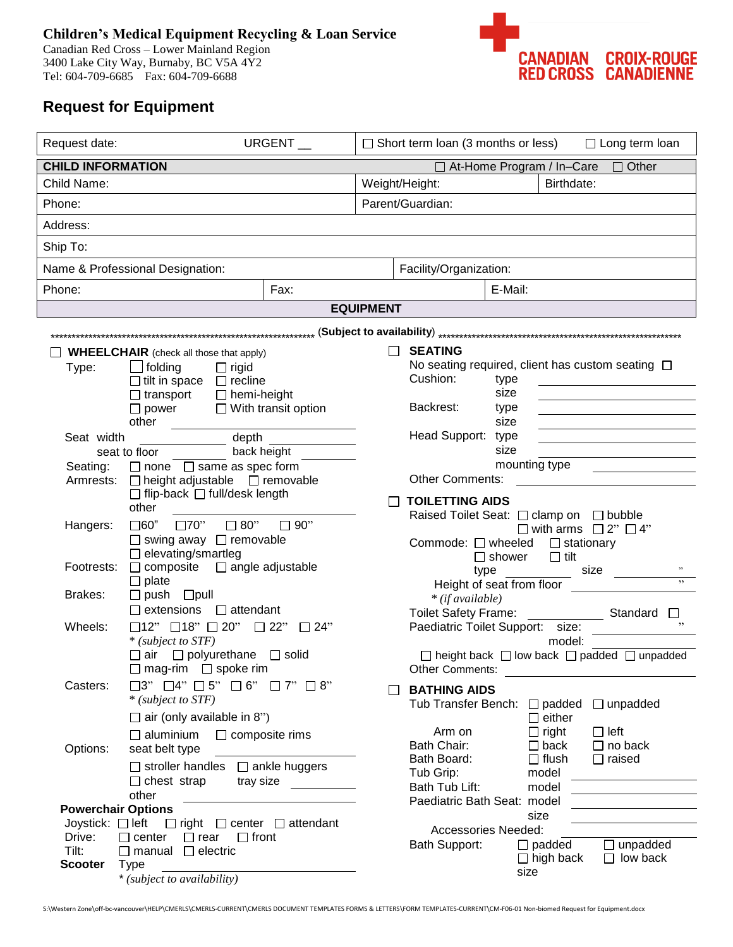

## **Request for Equipment**

| URGENT<br>Request date:   |                                                                                | $\Box$ Short term loan (3 months or less)<br>$\Box$ Long term loan                  |  |  |  |
|---------------------------|--------------------------------------------------------------------------------|-------------------------------------------------------------------------------------|--|--|--|
| <b>CHILD INFORMATION</b>  |                                                                                | □ At-Home Program / In-Care □ Other                                                 |  |  |  |
| Child Name:               |                                                                                | Birthdate:<br>Weight/Height:                                                        |  |  |  |
| Phone:                    |                                                                                | Parent/Guardian:                                                                    |  |  |  |
| Address:                  |                                                                                |                                                                                     |  |  |  |
| Ship To:                  |                                                                                |                                                                                     |  |  |  |
|                           | Name & Professional Designation:                                               | Facility/Organization:                                                              |  |  |  |
| Phone:                    | Fax:                                                                           | E-Mail:                                                                             |  |  |  |
|                           |                                                                                | <b>EQUIPMENT</b>                                                                    |  |  |  |
|                           |                                                                                |                                                                                     |  |  |  |
|                           | $\Box$ WHEELCHAIR (check all those that apply)                                 | <b>SEATING</b><br>$\Box$                                                            |  |  |  |
| Type:                     | $\Box$ folding<br>$\Box$ rigid                                                 | No seating required, client has custom seating $\square$<br>Cushion:<br>type        |  |  |  |
|                           | $\Box$ tilt in space $\Box$ recline<br>$\Box$ transport $\Box$ hemi-height     | size                                                                                |  |  |  |
|                           | $\Box$ power<br>$\Box$ With transit option                                     | Backrest:<br>type                                                                   |  |  |  |
|                           | other                                                                          | size                                                                                |  |  |  |
| Seat width                | depth<br>and back height<br>and back height                                    | Head Support: type                                                                  |  |  |  |
|                           | seat to floor                                                                  | size                                                                                |  |  |  |
|                           | Seating: $\Box$ none $\Box$ same as spec form                                  |                                                                                     |  |  |  |
|                           | Armrests: □ height adjustable □ removable                                      | Other Comments: <u>_____________________</u>                                        |  |  |  |
|                           | $\Box$ flip-back $\Box$ full/desk length<br>other                              | <b>TOILETTING AIDS</b><br>□                                                         |  |  |  |
|                           | $\square$ 60"<br>$\Box$ 70" $\Box$ 80" $\Box$ 90"                              | Raised Toilet Seat: □ clamp on □ bubble                                             |  |  |  |
| Hangers:                  | $\Box$ swing away $\Box$ removable                                             | $\Box$ with arms $\Box$ 2" $\Box$ 4"                                                |  |  |  |
|                           | □ elevating/smartleg                                                           | Commode: $\Box$ wheeled $\Box$ stationary<br>$\Box$ shower $\Box$ tilt              |  |  |  |
|                           | Footrests: □ composite □ angle adjustable                                      | <b>Size Size</b><br>type                                                            |  |  |  |
|                           | $\Box$ plate                                                                   |                                                                                     |  |  |  |
| Brakes:                   | $\Box$ push $\Box$ pull                                                        | * (if available)                                                                    |  |  |  |
|                           | $\Box$ extensions $\Box$ attendant                                             |                                                                                     |  |  |  |
| Wheels:                   | $\Box$ 12" $\Box$ 18" $\Box$ 20" $\Box$ 22" $\Box$ 24"                         | Paediatric Toilet Support: size:                                                    |  |  |  |
|                           | * (subject to STF)                                                             | model:                                                                              |  |  |  |
|                           | $\Box$ air $\Box$ polyurethane $\Box$ solid<br>$\Box$ mag-rim $\Box$ spoke rim | $\Box$ height back $\Box$ low back $\Box$ padded $\Box$ unpadded<br>Other Comments: |  |  |  |
| Casters:                  | $\Box$ 3" $\Box$ 4" $\Box$ 5" $\Box$ 6" $\Box$ 7" $\Box$ 8"                    | <b>BATHING AIDS</b><br>$\mathsf{L}$                                                 |  |  |  |
|                           | * (subject to STF)                                                             | Tub Transfer Bench: □ padded □ unpadded                                             |  |  |  |
|                           | $\Box$ air (only available in 8")                                              | $\Box$ either                                                                       |  |  |  |
|                           | $\Box$ aluminium<br>$\Box$ composite rims                                      | $\Box$ left<br>$\Box$ right<br>Arm on                                               |  |  |  |
| Options:                  | seat belt type                                                                 | Bath Chair:<br>$\Box$ back<br>$\Box$ no back                                        |  |  |  |
|                           | $\Box$ stroller handles $\Box$ ankle huggers                                   | Bath Board:<br>$\Box$ flush<br>$\Box$ raised<br>model                               |  |  |  |
|                           | $\Box$ chest strap<br>tray size                                                | Tub Grip:<br>Bath Tub Lift:<br>model                                                |  |  |  |
|                           | other                                                                          | Paediatric Bath Seat: model                                                         |  |  |  |
| <b>Powerchair Options</b> |                                                                                | size                                                                                |  |  |  |
| Drive:                    | Joystick: □ left □ right □ center □ attendant                                  | Accessories Needed:                                                                 |  |  |  |
| Tilt:                     | $\Box$ rear $\Box$ front<br>$\Box$ center<br>$\Box$ manual $\Box$ electric     | $\Box$ unpadded<br>Bath Support:<br>$\Box$ padded                                   |  |  |  |
| <b>Scooter</b>            | <b>Type</b>                                                                    | $\Box$ high back<br>$\Box$ low back                                                 |  |  |  |
|                           | *(subject to availability)                                                     | size                                                                                |  |  |  |